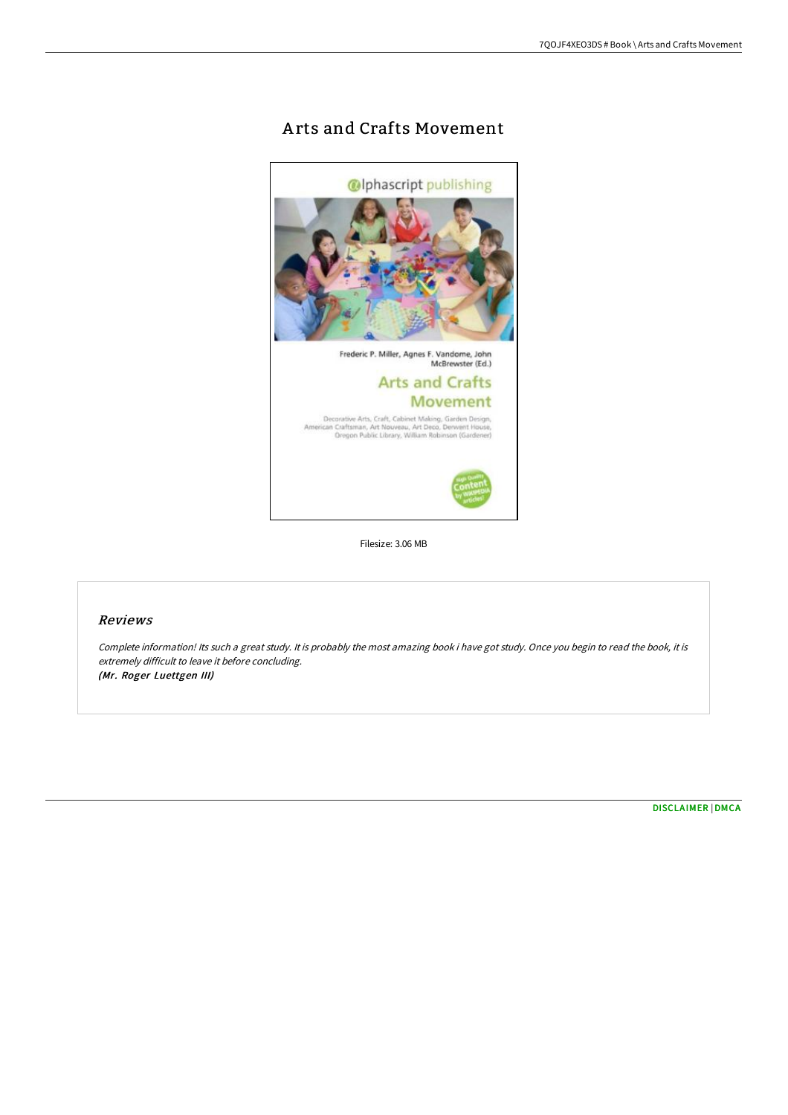# A rts and Crafts Movement



Filesize: 3.06 MB

### Reviews

Complete information! Its such <sup>a</sup> great study. It is probably the most amazing book i have got study. Once you begin to read the book, it is extremely difficult to leave it before concluding. (Mr. Roger Luettgen III)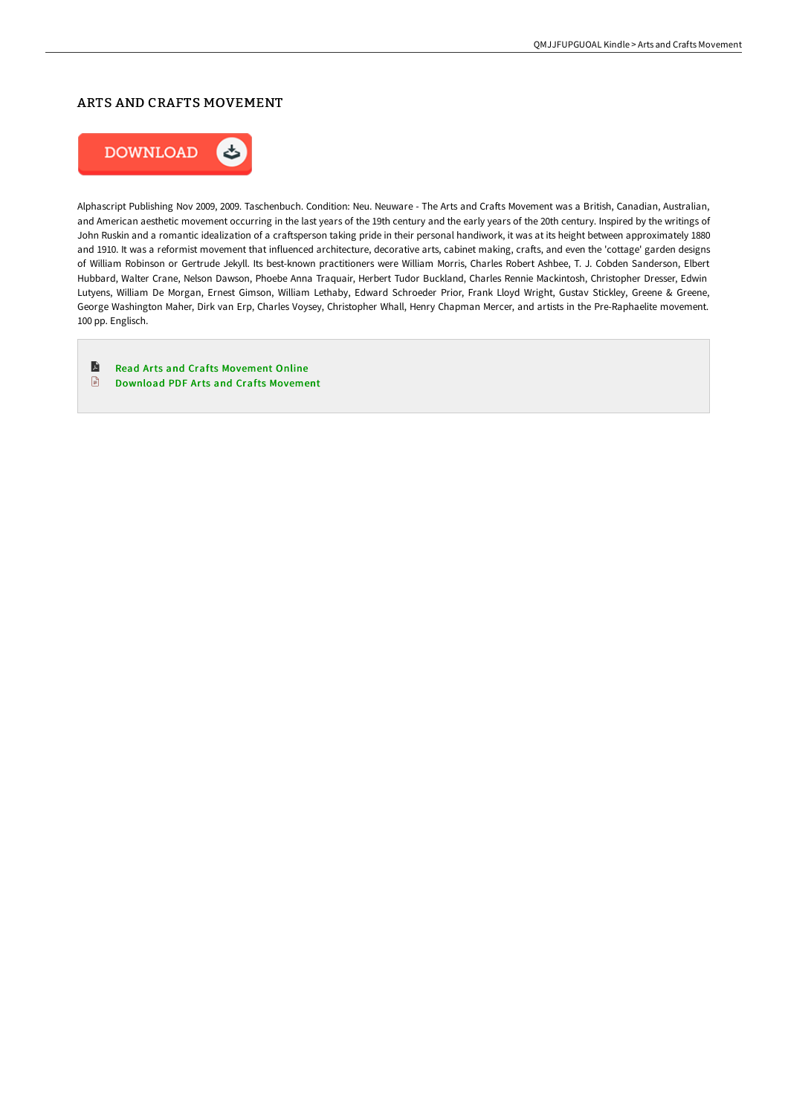#### ARTS AND CRAFTS MOVEMENT



Alphascript Publishing Nov 2009, 2009. Taschenbuch. Condition: Neu. Neuware - The Arts and Crafts Movement was a British, Canadian, Australian, and American aesthetic movement occurring in the last years of the 19th century and the early years of the 20th century. Inspired by the writings of John Ruskin and a romantic idealization of a craftsperson taking pride in their personal handiwork, it was at its height between approximately 1880 and 1910. It was a reformist movement that influenced architecture, decorative arts, cabinet making, crafts, and even the 'cottage' garden designs of William Robinson or Gertrude Jekyll. Its best-known practitioners were William Morris, Charles Robert Ashbee, T. J. Cobden Sanderson, Elbert Hubbard, Walter Crane, Nelson Dawson, Phoebe Anna Traquair, Herbert Tudor Buckland, Charles Rennie Mackintosh, Christopher Dresser, Edwin Lutyens, William De Morgan, Ernest Gimson, William Lethaby, Edward Schroeder Prior, Frank Lloyd Wright, Gustav Stickley, Greene & Greene, George Washington Maher, Dirk van Erp, Charles Voysey, Christopher Whall, Henry Chapman Mercer, and artists in the Pre-Raphaelite movement. 100 pp. Englisch.

- A Read Arts and Crafts [Movement](http://bookera.tech/arts-and-crafts-movement.html) Online
- $\begin{array}{c} \hline \end{array}$ Download PDF Arts and Crafts [Movement](http://bookera.tech/arts-and-crafts-movement.html)